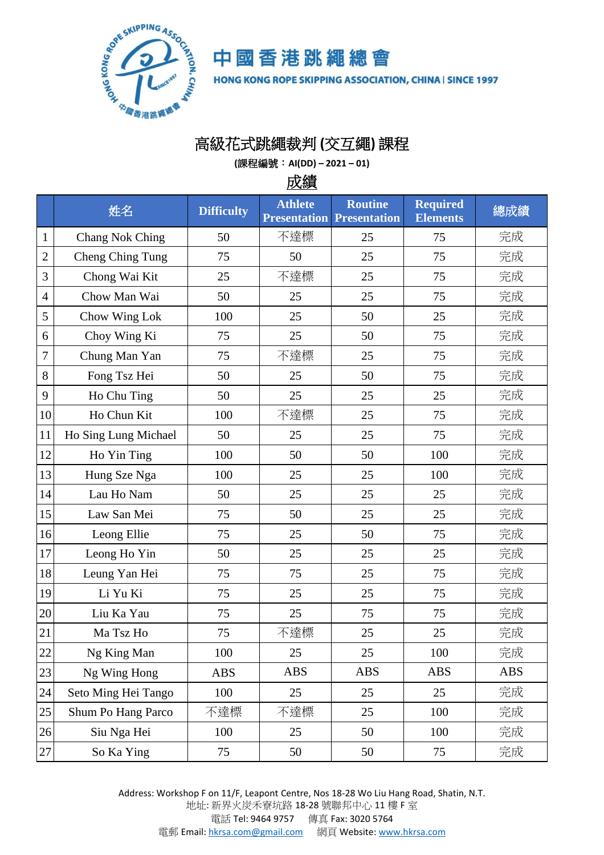

中國香港跳繩總會

HONG KONG ROPE SKIPPING ASSOCIATION, CHINA | SINCE 1997

## 高級花式跳繩裁判 **(**交互繩**)** 課程

**(**課程編號:**AI(DD) – 2021 – 01)**

成績

|                | 姓名                     | <b>Difficulty</b> | <b>Athlete</b><br><b>Presentation Presentation</b> | <b>Routine</b> | <b>Required</b><br><b>Elements</b> | 總成績        |
|----------------|------------------------|-------------------|----------------------------------------------------|----------------|------------------------------------|------------|
| $\mathbf{1}$   | <b>Chang Nok Ching</b> | 50                | 不達標                                                | 25             | 75                                 | 完成         |
| $\overline{2}$ | Cheng Ching Tung       | 75                | 50                                                 | 25             | 75                                 | 完成         |
| 3              | Chong Wai Kit          | 25                | 不達標                                                | 25             | 75                                 | 完成         |
| $\overline{4}$ | Chow Man Wai           | 50                | 25                                                 | 25             | 75                                 | 完成         |
| 5              | Chow Wing Lok          | 100               | 25                                                 | 50             | 25                                 | 完成         |
| 6              | Choy Wing Ki           | 75                | 25                                                 | 50             | 75                                 | 完成         |
| 7              | Chung Man Yan          | 75                | 不達標                                                | 25             | 75                                 | 完成         |
| 8              | Fong Tsz Hei           | 50                | 25                                                 | 50             | 75                                 | 完成         |
| 9              | Ho Chu Ting            | 50                | 25                                                 | 25             | 25                                 | 完成         |
| 10             | Ho Chun Kit            | 100               | 不達標                                                | 25             | 75                                 | 完成         |
| 11             | Ho Sing Lung Michael   | 50                | 25                                                 | 25             | 75                                 | 完成         |
| 12             | Ho Yin Ting            | 100               | 50                                                 | 50             | 100                                | 完成         |
| 13             | Hung Sze Nga           | 100               | 25                                                 | 25             | 100                                | 完成         |
| 14             | Lau Ho Nam             | 50                | 25                                                 | 25             | 25                                 | 完成         |
| 15             | Law San Mei            | 75                | 50                                                 | 25             | 25                                 | 完成         |
| 16             | Leong Ellie            | 75                | 25                                                 | 50             | 75                                 | 完成         |
| 17             | Leong Ho Yin           | 50                | 25                                                 | 25             | 25                                 | 完成         |
| 18             | Leung Yan Hei          | 75                | 75                                                 | 25             | 75                                 | 完成         |
| 19             | Li Yu Ki               | 75                | 25                                                 | 25             | 75                                 | 完成         |
| 20             | Liu Ka Yau             | 75                | 25                                                 | 75             | 75                                 | 完成         |
| 21             | Ma Tsz Ho              | 75                | 不達標                                                | 25             | 25                                 | 完成         |
| 22             | Ng King Man            | 100               | 25                                                 | 25             | 100                                | 完成         |
| 23             | Ng Wing Hong           | <b>ABS</b>        | <b>ABS</b>                                         | <b>ABS</b>     | <b>ABS</b>                         | <b>ABS</b> |
| $24\,$         | Seto Ming Hei Tango    | 100               | 25                                                 | 25             | 25                                 | 完成         |
| $25\,$         | Shum Po Hang Parco     | 不達標               | 不達標                                                | 25             | 100                                | 完成         |
| $26\,$         | Siu Nga Hei            | 100               | 25                                                 | 50             | 100                                | 完成         |
| $27\,$         | So Ka Ying             | 75                | 50                                                 | 50             | 75                                 | 完成         |

Address: Workshop F on 11/F, Leapont Centre, Nos 18-28 Wo Liu Hang Road, Shatin, N.T. 地址: 新界火炭禾寮坑路 18-28 號聯邦中心 11 樓 F 室 電話 Tel: 9464 9757 傳真 Fax: 3020 5764 電郵 Email[: hkrsa.com@gmail.com](mailto:hkrsa.com@gmail.com) 網頁 Website: [www.hkrsa.com](http://www.hkrsa.com/)